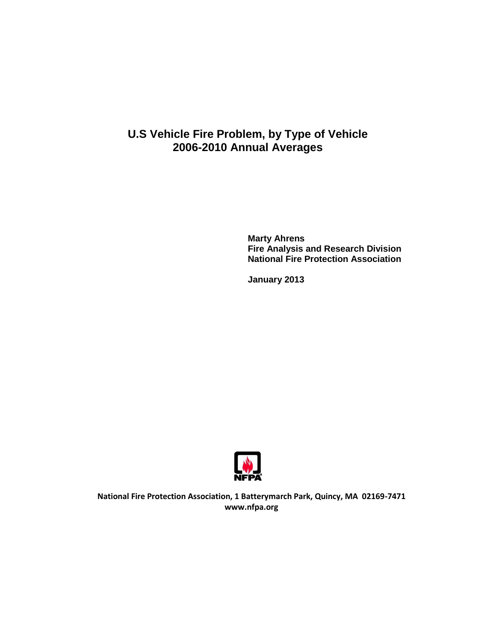# **U.S Vehicle Fire Problem, by Type of Vehicle 2006-2010 Annual Averages**

**Marty Ahrens Fire Analysis and Research Division National Fire Protection Association**

**January 2013**



**National Fire Protection Association, 1 Batterymarch Park, Quincy, MA 02169-7471 www.nfpa.org**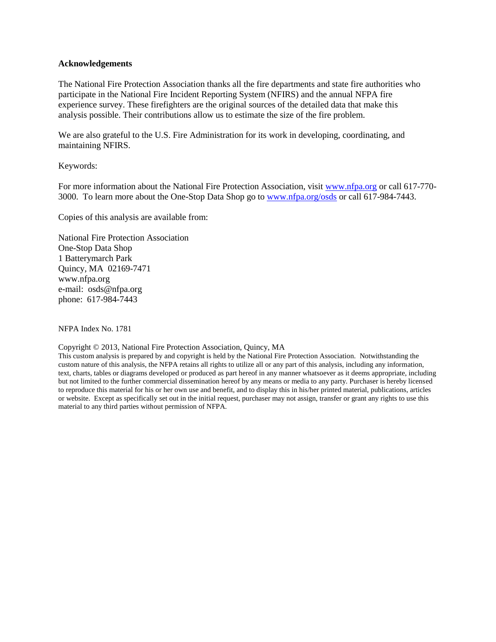### **Acknowledgements**

The National Fire Protection Association thanks all the fire departments and state fire authorities who participate in the National Fire Incident Reporting System (NFIRS) and the annual NFPA fire experience survey. These firefighters are the original sources of the detailed data that make this analysis possible. Their contributions allow us to estimate the size of the fire problem.

We are also grateful to the U.S. Fire Administration for its work in developing, coordinating, and maintaining NFIRS.

## Keywords:

For more information about the National Fire Protection Association, visit [www.nfpa.org](http://www.nfpa.org/) or call 617-770-3000. To learn more about the One-Stop Data Shop go to [www.nfpa.org/osds](http://www.nfpa.org/osds) or call 617-984-7443.

Copies of this analysis are available from:

National Fire Protection Association One-Stop Data Shop 1 Batterymarch Park Quincy, MA 02169-7471 www.nfpa.org e-mail: osds@nfpa.org phone: 617-984-7443

NFPA Index No. 1781

#### Copyright © 2013, National Fire Protection Association, Quincy, MA

This custom analysis is prepared by and copyright is held by the National Fire Protection Association. Notwithstanding the custom nature of this analysis, the NFPA retains all rights to utilize all or any part of this analysis, including any information, text, charts, tables or diagrams developed or produced as part hereof in any manner whatsoever as it deems appropriate, including but not limited to the further commercial dissemination hereof by any means or media to any party. Purchaser is hereby licensed to reproduce this material for his or her own use and benefit, and to display this in his/her printed material, publications, articles or website. Except as specifically set out in the initial request, purchaser may not assign, transfer or grant any rights to use this material to any third parties without permission of NFPA.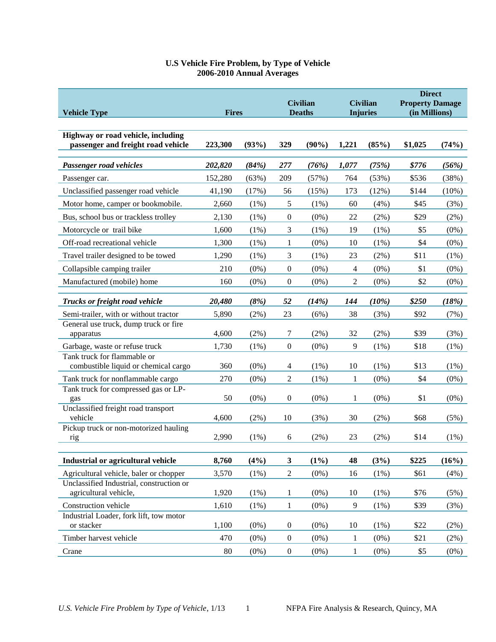| <b>Vehicle Type</b>                                                      | <b>Fires</b> |         | <b>Civilian</b><br><b>Deaths</b> |          | <b>Civilian</b><br><b>Injuries</b> |         | <b>Direct</b><br><b>Property Damage</b><br>(in Millions) |          |
|--------------------------------------------------------------------------|--------------|---------|----------------------------------|----------|------------------------------------|---------|----------------------------------------------------------|----------|
| Highway or road vehicle, including<br>passenger and freight road vehicle | 223,300      | (93%)   | 329                              | $(90\%)$ | 1,221                              | (85%)   | \$1,025                                                  | (74%)    |
| Passenger road vehicles                                                  | 202,820      | (84%)   | 277                              | (76%)    | 1,077                              | (75%)   | \$776                                                    | (56%)    |
| Passenger car.                                                           | 152,280      | (63%)   | 209                              | (57%)    | 764                                | (53%)   | \$536                                                    | (38%)    |
| Unclassified passenger road vehicle                                      | 41,190       | (17%)   | 56                               | (15%)    | 173                                | (12%)   | \$144                                                    | $(10\%)$ |
| Motor home, camper or bookmobile.                                        | 2,660        | (1%)    | 5                                | (1%)     | 60                                 | (4%)    | \$45                                                     | (3%)     |
| Bus, school bus or trackless trolley                                     | 2,130        | (1%)    | $\boldsymbol{0}$                 | $(0\%)$  | 22                                 | $(2\%)$ | \$29                                                     | (2%)     |
| Motorcycle or trail bike                                                 | 1,600        | (1%)    | 3                                | (1%)     | 19                                 | $(1\%)$ | \$5                                                      | $(0\%)$  |
| Off-road recreational vehicle                                            | 1,300        | (1%)    | 1                                | $(0\%)$  | 10                                 | (1%)    | \$4                                                      | $(0\%)$  |
| Travel trailer designed to be towed                                      | 1,290        | (1%)    | 3                                | $(1\%)$  | 23                                 | $(2\%)$ | \$11                                                     | (1%)     |
| Collapsible camping trailer                                              | 210          | $(0\%)$ | $\boldsymbol{0}$                 | $(0\%)$  | 4                                  | $(0\%)$ | \$1                                                      | $(0\%)$  |
| Manufactured (mobile) home                                               | 160          | $(0\%)$ | $\boldsymbol{0}$                 | $(0\%)$  | 2                                  | $(0\%)$ | \$2                                                      | $(0\%)$  |
| Trucks or freight road vehicle                                           | 20,480       | (8%)    | 52                               | (14%)    | 144                                | (10%)   | \$250                                                    | (18%)    |
| Semi-trailer, with or without tractor                                    | 5,890        | (2%)    | 23                               | (6%)     | 38                                 | (3%)    | \$92                                                     | (7%)     |
| General use truck, dump truck or fire                                    |              |         |                                  |          |                                    |         |                                                          |          |
| apparatus                                                                | 4,600        | (2%)    | 7                                | $(2\%)$  | 32                                 | $(2\%)$ | \$39                                                     | (3%)     |
| Garbage, waste or refuse truck                                           | 1,730        | (1%)    | $\boldsymbol{0}$                 | $(0\%)$  | 9                                  | (1%)    | \$18                                                     | (1%)     |
| Tank truck for flammable or<br>combustible liquid or chemical cargo      | 360          | $(0\%)$ | 4                                | $(1\%)$  | 10                                 | $(1\%)$ | \$13                                                     | (1%)     |
| Tank truck for nonflammable cargo                                        | 270          | $(0\%)$ | $\sqrt{2}$                       | (1%)     | 1                                  | $(0\%)$ | \$4                                                      | $(0\%)$  |
| Tank truck for compressed gas or LP-                                     |              |         |                                  |          |                                    |         |                                                          |          |
| gas                                                                      | 50           | (0%)    | $\boldsymbol{0}$                 | $(0\%)$  | 1                                  | $(0\%)$ | \$1                                                      | $(0\%)$  |
| Unclassified freight road transport<br>vehicle                           | 4,600        | (2%)    | 10                               | (3%)     | 30                                 | (2%)    | \$68                                                     | (5%)     |
| Pickup truck or non-motorized hauling<br>rig                             | 2,990        | (1%)    | 6                                | (2%)     | 23                                 | (2%)    | \$14                                                     | (1%)     |
| Industrial or agricultural vehicle                                       | 8,760        | (4%)    | $\mathbf{3}$                     | $(1\%)$  | 48                                 | (3%)    | \$225                                                    | (16%)    |
| Agricultural vehicle, baler or chopper                                   | 3,570        | (1%)    | $\sqrt{2}$                       | $(0\%)$  | 16                                 | $(1\%)$ | \$61                                                     | (4%)     |
| Unclassified Industrial, construction or<br>agricultural vehicle,        | 1,920        | (1%)    | $\mathbf{1}$                     | $(0\%)$  | 10                                 | (1%)    | \$76                                                     | (5%)     |
| Construction vehicle                                                     | 1,610        | (1%)    | $\mathbf{1}$                     | $(0\%)$  | 9                                  | (1%)    | \$39                                                     | (3%)     |
| Industrial Loader, fork lift, tow motor<br>or stacker                    | 1,100        | (0%)    | $\boldsymbol{0}$                 | $(0\%)$  | 10                                 | (1%)    | \$22                                                     | (2%)     |
| Timber harvest vehicle                                                   | 470          | $(0\%)$ | $\boldsymbol{0}$                 | $(0\%)$  | $\mathbf{1}$                       | $(0\%)$ | \$21                                                     | (2%)     |
| Crane                                                                    | 80           | $(0\%)$ | $\boldsymbol{0}$                 | $(0\%)$  | $\mathbf{1}$                       | $(0\%)$ | \$5                                                      | $(0\%)$  |

# **U.S Vehicle Fire Problem, by Type of Vehicle 2006-2010 Annual Averages**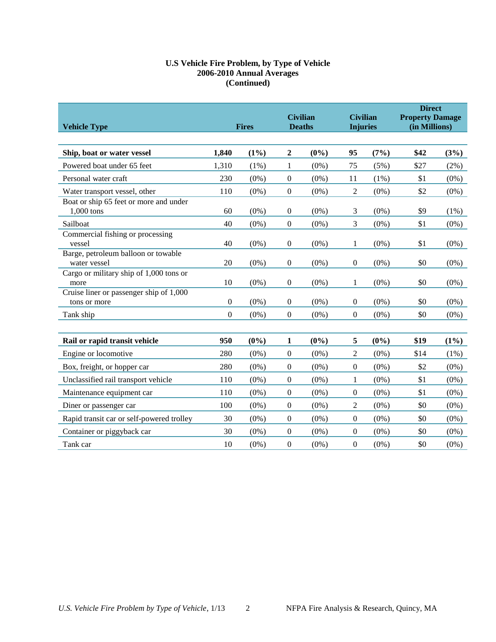# **U.S Vehicle Fire Problem, by Type of Vehicle 2006-2010 Annual Averages (Continued)**

| <b>Vehicle Type</b>                                     | <b>Fires</b>     |         | <b>Civilian</b><br><b>Deaths</b> |         | <b>Civilian</b><br><b>Injuries</b> |         | <b>Direct</b><br><b>Property Damage</b><br>(in Millions) |         |
|---------------------------------------------------------|------------------|---------|----------------------------------|---------|------------------------------------|---------|----------------------------------------------------------|---------|
|                                                         |                  |         |                                  |         |                                    |         |                                                          |         |
| Ship, boat or water vessel                              | 1,840            | $(1\%)$ | $\boldsymbol{2}$                 | $(0\%)$ | 95                                 | (7%)    | \$42                                                     | (3%)    |
| Powered boat under 65 feet                              | 1,310            | (1%)    | $\mathbf{1}$                     | $(0\%)$ | 75                                 | $(5\%)$ | \$27                                                     | $(2\%)$ |
| Personal water craft                                    | 230              | $(0\%)$ | $\boldsymbol{0}$                 | $(0\%)$ | 11                                 | $(1\%)$ | \$1                                                      | $(0\%)$ |
| Water transport vessel, other                           | 110              | $(0\%)$ | $\boldsymbol{0}$                 | $(0\%)$ | 2                                  | $(0\%)$ | \$2                                                      | $(0\%)$ |
| Boat or ship 65 feet or more and under<br>1,000 tons    | 60               | $(0\%)$ | $\boldsymbol{0}$                 | $(0\%)$ | 3                                  | $(0\%)$ | \$9                                                      | $(1\%)$ |
| Sailboat                                                | 40               | $(0\%)$ | $\boldsymbol{0}$                 | $(0\%)$ | 3                                  | $(0\%)$ | \$1                                                      | $(0\%)$ |
| Commercial fishing or processing<br>vessel              | 40               | $(0\%)$ | $\boldsymbol{0}$                 | $(0\%)$ | 1                                  | $(0\%)$ | \$1                                                      | $(0\%)$ |
| Barge, petroleum balloon or towable<br>water vessel     | 20               | $(0\%)$ | $\boldsymbol{0}$                 | $(0\%)$ | $\boldsymbol{0}$                   | $(0\%)$ | \$0                                                      | $(0\%)$ |
| Cargo or military ship of 1,000 tons or<br>more         | 10               | $(0\%)$ | $\boldsymbol{0}$                 | $(0\%)$ | $\mathbf{1}$                       | $(0\%)$ | \$0                                                      | $(0\%)$ |
| Cruise liner or passenger ship of 1,000<br>tons or more | $\overline{0}$   | $(0\%)$ | $\boldsymbol{0}$                 | $(0\%)$ | $\mathbf{0}$                       | $(0\%)$ | \$0                                                      | $(0\%)$ |
| Tank ship                                               | $\boldsymbol{0}$ | $(0\%)$ | $\boldsymbol{0}$                 | $(0\%)$ | $\boldsymbol{0}$                   | $(0\%)$ | \$0                                                      | $(0\%)$ |
| Rail or rapid transit vehicle                           | 950              | $(0\%)$ | $\mathbf{1}$                     | $(0\%)$ | 5                                  | $(0\%)$ | \$19                                                     | $(1\%)$ |
| Engine or locomotive                                    | 280              | $(0\%)$ | $\boldsymbol{0}$                 | $(0\%)$ | $\overline{c}$                     | $(0\%)$ | \$14                                                     | $(1\%)$ |
| Box, freight, or hopper car                             | 280              | $(0\%)$ | $\boldsymbol{0}$                 | $(0\%)$ | $\boldsymbol{0}$                   | $(0\%)$ | \$2                                                      | $(0\%)$ |
| Unclassified rail transport vehicle                     | 110              | $(0\%)$ | $\boldsymbol{0}$                 | $(0\%)$ | $\mathbf{1}$                       | $(0\%)$ | \$1                                                      | $(0\%)$ |
| Maintenance equipment car                               | 110              | $(0\%)$ | $\boldsymbol{0}$                 | $(0\%)$ | $\overline{0}$                     | $(0\%)$ | \$1                                                      | $(0\%)$ |
| Diner or passenger car                                  | 100              | $(0\%)$ | $\boldsymbol{0}$                 | $(0\%)$ | 2                                  | $(0\%)$ | \$0                                                      | $(0\%)$ |
| Rapid transit car or self-powered trolley               | 30               | $(0\%)$ | $\boldsymbol{0}$                 | $(0\%)$ | $\boldsymbol{0}$                   | $(0\%)$ | \$0                                                      | $(0\%)$ |
| Container or piggyback car                              | 30               | $(0\%)$ | $\boldsymbol{0}$                 | $(0\%)$ | $\boldsymbol{0}$                   | $(0\%)$ | \$0                                                      | $(0\%)$ |
| Tank car                                                | 10               | $(0\%)$ | $\boldsymbol{0}$                 | $(0\%)$ | $\boldsymbol{0}$                   | $(0\%)$ | \$0                                                      | $(0\%)$ |